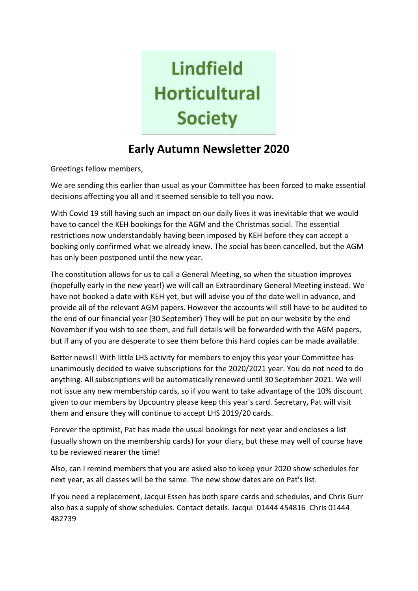# **Lindfield Horticultural Society**

# **Early Autumn Newsletter 2020**

Greetings fellow members,

We are sending this earlier than usual as your Committee has been forced to make essential decisions affecting you all and it seemed sensible to tell you now.

With Covid 19 still having such an impact on our daily lives it was inevitable that we would have to cancel the KEH bookings for the AGM and the Christmas social. The essential restrictions now understandably having been imposed by KEH before they can accept a booking only confirmed what we already knew. The social has been cancelled, but the AGM has only been postponed until the new year.

The constitution allows for us to call a General Meeting, so when the situation improves (hopefully early in the new year!) we will call an Extraordinary General Meeting instead. We have not booked a date with KEH yet, but will advise you of the date well in advance, and provide all of the relevant AGM papers. However the accounts will still have to be audited to the end of our financial year (30 September) They will be put on our website by the end November if you wish to see them, and full details will be forwarded with the AGM papers, but if any of you are desperate to see them before this hard copies can be made available.

Better news!! With little LHS activity for members to enjoy this year your Committee has unanimously decided to waive subscriptions for the 2020/2021 year. You do not need to do anything. All subscriptions will be automatically renewed until 30 September 2021. We will not issue any new membership cards, so if you want to take advantage of the 10% discount given to our members by Upcountry please keep this year's card. Secretary, Pat will visit them and ensure they will continue to accept LHS 2019/20 cards.

Forever the optimist, Pat has made the usual bookings for next year and encloses a list (usually shown on the membership cards) for your diary, but these may well of course have to be reviewed nearer the time!

Also, can I remind members that you are asked also to keep your 2020 show schedules for next year, as all classes will be the same. The new show dates are on Pat's list.

If you need a replacement, Jacqui Essen has both spare cards and schedules, and Chris Gurr also has a supply of show schedules. Contact details. Jacqui 01444 454816 Chris 01444 482739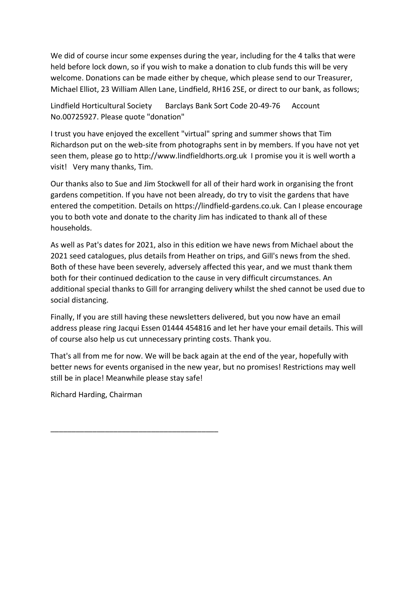We did of course incur some expenses during the year, including for the 4 talks that were held before lock down, so if you wish to make a donation to club funds this will be very welcome. Donations can be made either by cheque, which please send to our Treasurer, Michael Elliot, 23 William Allen Lane, Lindfield, RH16 2SE, or direct to our bank, as follows;

Lindfield Horticultural Society Barclays Bank Sort Code 20-49-76 Account No.00725927. Please quote "donation"

I trust you have enjoyed the excellent "virtual" spring and summer shows that Tim Richardson put on the web-site from photographs sent in by members. If you have not yet seen them, please go to http://www.lindfieldhorts.org.uk I promise you it is well worth a visit! Very many thanks, Tim.

Our thanks also to Sue and Jim Stockwell for all of their hard work in organising the front gardens competition. If you have not been already, do try to visit the gardens that have entered the competition. Details on https://lindfield-gardens.co.uk. Can I please encourage you to both vote and donate to the charity Jim has indicated to thank all of these households.

As well as Pat's dates for 2021, also in this edition we have news from Michael about the 2021 seed catalogues, plus details from Heather on trips, and Gill's news from the shed. Both of these have been severely, adversely affected this year, and we must thank them both for their continued dedication to the cause in very difficult circumstances. An additional special thanks to Gill for arranging delivery whilst the shed cannot be used due to social distancing.

Finally, If you are still having these newsletters delivered, but you now have an email address please ring Jacqui Essen 01444 454816 and let her have your email details. This will of course also help us cut unnecessary printing costs. Thank you.

That's all from me for now. We will be back again at the end of the year, hopefully with better news for events organised in the new year, but no promises! Restrictions may well still be in place! Meanwhile please stay safe!

Richard Harding, Chairman

\_\_\_\_\_\_\_\_\_\_\_\_\_\_\_\_\_\_\_\_\_\_\_\_\_\_\_\_\_\_\_\_\_\_\_\_\_\_\_\_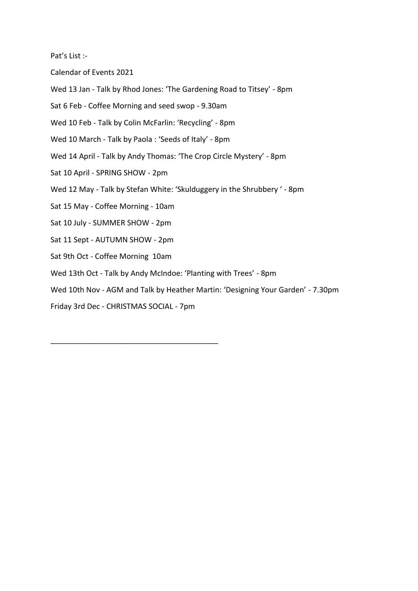Pat's List :-

Calendar of Events 2021

Wed 13 Jan - Talk by Rhod Jones: 'The Gardening Road to Titsey' - 8pm

Sat 6 Feb - Coffee Morning and seed swop - 9.30am

Wed 10 Feb - Talk by Colin McFarlin: 'Recycling' - 8pm

Wed 10 March - Talk by Paola : 'Seeds of Italy' - 8pm

- Wed 14 April Talk by Andy Thomas: 'The Crop Circle Mystery' 8pm
- Sat 10 April SPRING SHOW 2pm
- Wed 12 May Talk by Stefan White: 'Skulduggery in the Shrubbery ' 8pm
- Sat 15 May Coffee Morning 10am
- Sat 10 July SUMMER SHOW 2pm
- Sat 11 Sept AUTUMN SHOW 2pm
- Sat 9th Oct Coffee Morning 10am
- Wed 13th Oct Talk by Andy McIndoe: 'Planting with Trees' 8pm
- Wed 10th Nov AGM and Talk by Heather Martin: 'Designing Your Garden' 7.30pm

Friday 3rd Dec - CHRISTMAS SOCIAL - 7pm

\_\_\_\_\_\_\_\_\_\_\_\_\_\_\_\_\_\_\_\_\_\_\_\_\_\_\_\_\_\_\_\_\_\_\_\_\_\_\_\_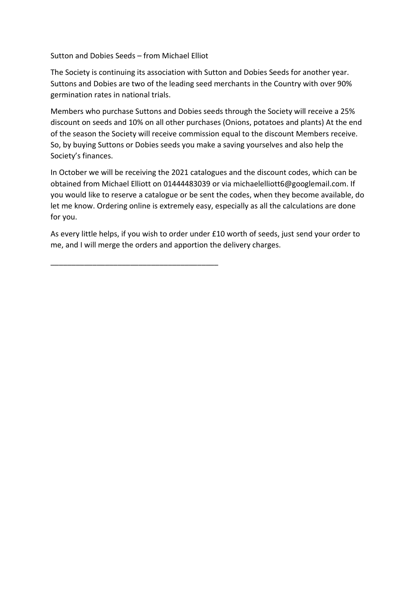Sutton and Dobies Seeds – from Michael Elliot

\_\_\_\_\_\_\_\_\_\_\_\_\_\_\_\_\_\_\_\_\_\_\_\_\_\_\_\_\_\_\_\_\_\_\_\_\_\_\_\_

The Society is continuing its association with Sutton and Dobies Seeds for another year. Suttons and Dobies are two of the leading seed merchants in the Country with over 90% germination rates in national trials.

Members who purchase Suttons and Dobies seeds through the Society will receive a 25% discount on seeds and 10% on all other purchases (Onions, potatoes and plants) At the end of the season the Society will receive commission equal to the discount Members receive. So, by buying Suttons or Dobies seeds you make a saving yourselves and also help the Society's finances.

In October we will be receiving the 2021 catalogues and the discount codes, which can be obtained from Michael Elliott on 01444483039 or via michaelelliott6@googlemail.com. If you would like to reserve a catalogue or be sent the codes, when they become available, do let me know. Ordering online is extremely easy, especially as all the calculations are done for you.

As every little helps, if you wish to order under £10 worth of seeds, just send your order to me, and I will merge the orders and apportion the delivery charges.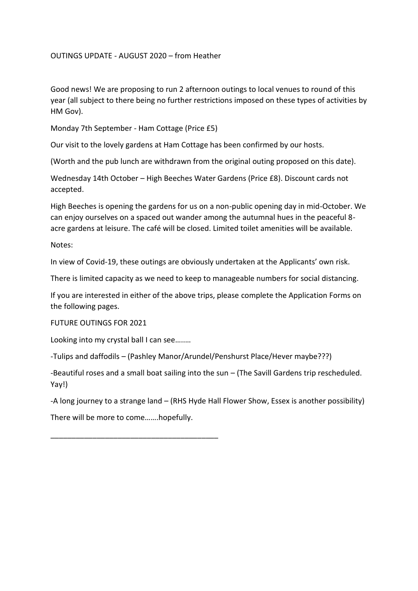# OUTINGS UPDATE - AUGUST 2020 – from Heather

Good news! We are proposing to run 2 afternoon outings to local venues to round of this year (all subject to there being no further restrictions imposed on these types of activities by HM Gov).

Monday 7th September - Ham Cottage (Price £5)

Our visit to the lovely gardens at Ham Cottage has been confirmed by our hosts.

(Worth and the pub lunch are withdrawn from the original outing proposed on this date).

Wednesday 14th October – High Beeches Water Gardens (Price £8). Discount cards not accepted.

High Beeches is opening the gardens for us on a non-public opening day in mid-October. We can enjoy ourselves on a spaced out wander among the autumnal hues in the peaceful 8 acre gardens at leisure. The café will be closed. Limited toilet amenities will be available.

Notes:

In view of Covid-19, these outings are obviously undertaken at the Applicants' own risk.

There is limited capacity as we need to keep to manageable numbers for social distancing.

If you are interested in either of the above trips, please complete the Application Forms on the following pages.

FUTURE OUTINGS FOR 2021

Looking into my crystal ball I can see…..…

-Tulips and daffodils – (Pashley Manor/Arundel/Penshurst Place/Hever maybe???)

-Beautiful roses and a small boat sailing into the sun – (The Savill Gardens trip rescheduled. Yay!)

-A long journey to a strange land – (RHS Hyde Hall Flower Show, Essex is another possibility)

There will be more to come…….hopefully.

\_\_\_\_\_\_\_\_\_\_\_\_\_\_\_\_\_\_\_\_\_\_\_\_\_\_\_\_\_\_\_\_\_\_\_\_\_\_\_\_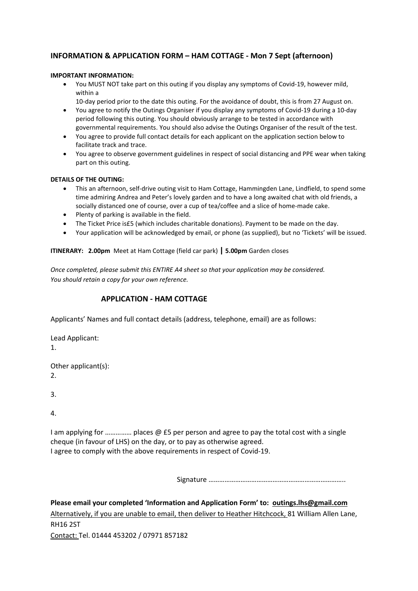# **INFORMATION & APPLICATION FORM – HAM COTTAGE - Mon 7 Sept (afternoon)**

#### **IMPORTANT INFORMATION:**

- You MUST NOT take part on this outing if you display any symptoms of Covid-19, however mild, within a
	- 10-day period prior to the date this outing. For the avoidance of doubt, this is from 27 August on.
- You agree to notify the Outings Organiser if you display any symptoms of Covid-19 during a 10-day period following this outing. You should obviously arrange to be tested in accordance with governmental requirements. You should also advise the Outings Organiser of the result of the test.
- You agree to provide full contact details for each applicant on the application section below to facilitate track and trace.
- You agree to observe government guidelines in respect of social distancing and PPE wear when taking part on this outing.

#### **DETAILS OF THE OUTING:**

- This an afternoon, self-drive outing visit to Ham Cottage, Hammingden Lane, Lindfield, to spend some time admiring Andrea and Peter's lovely garden and to have a long awaited chat with old friends, a socially distanced one of course, over a cup of tea/coffee and a slice of home-made cake.
- Plenty of parking is available in the field.
- The Ticket Price is£5 (which includes charitable donations). Payment to be made on the day.
- Your application will be acknowledged by email, or phone (as supplied), but no 'Tickets' will be issued.

#### **ITINERARY: 2.00pm** Meet at Ham Cottage (field car park) **| 5.00pm** Garden closes

*Once completed, please submit this ENTIRE A4 sheet so that your application may be considered. You should retain a copy for your own reference.*

#### **APPLICATION - HAM COTTAGE**

Applicants' Names and full contact details (address, telephone, email) are as follows:

Lead Applicant: 1.

Other applicant(s): 2.

3.

4.

I am applying for ............... places  $\omega$  £5 per person and agree to pay the total cost with a single cheque (in favour of LHS) on the day, or to pay as otherwise agreed. I agree to comply with the above requirements in respect of Covid-19.

Signature …………………………………………………………………..

**Please email your completed 'Information and Application Form' to: [outings.lhs@gmail.com](mailto:outings.lhs@gmail.com)** Alternatively, if you are unable to email, then deliver to Heather Hitchcock, 81 William Allen Lane, RH16 2ST Contact: Tel. 01444 453202 / 07971 857182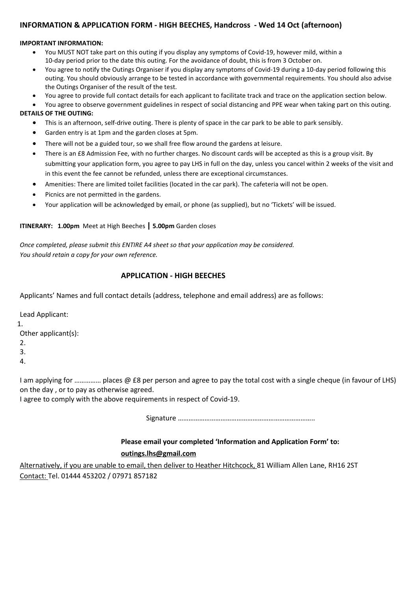## **INFORMATION & APPLICATION FORM - HIGH BEECHES, Handcross - Wed 14 Oct (afternoon)**

#### **IMPORTANT INFORMATION:**

- You MUST NOT take part on this outing if you display any symptoms of Covid-19, however mild, within a 10-day period prior to the date this outing. For the avoidance of doubt, this is from 3 October on.
- You agree to notify the Outings Organiser if you display any symptoms of Covid-19 during a 10-day period following this outing. You should obviously arrange to be tested in accordance with governmental requirements. You should also advise the Outings Organiser of the result of the test.
- You agree to provide full contact details for each applicant to facilitate track and trace on the application section below.
- You agree to observe government guidelines in respect of social distancing and PPE wear when taking part on this outing. **DETAILS OF THE OUTING:**
	- This is an afternoon, self-drive outing. There is plenty of space in the car park to be able to park sensibly.
	- Garden entry is at 1pm and the garden closes at 5pm.
	- There will not be a guided tour, so we shall free flow around the gardens at leisure.
	- There is an £8 Admission Fee, with no further charges. No discount cards will be accepted as this is a group visit. By submitting your application form, you agree to pay LHS in full on the day, unless you cancel within 2 weeks of the visit and in this event the fee cannot be refunded, unless there are exceptional circumstances.
	- Amenities: There are limited toilet facilities (located in the car park). The cafeteria will not be open.
	- Picnics are not permitted in the gardens.
	- Your application will be acknowledged by email, or phone (as supplied), but no 'Tickets' will be issued.

#### **ITINERARY: 1.00pm** Meet at High Beeches **| 5.00pm** Garden closes

*Once completed, please submit this ENTIRE A4 sheet so that your application may be considered. You should retain a copy for your own reference.*

# **APPLICATION - HIGH BEECHES**

Applicants' Names and full contact details (address, telephone and email address) are as follows:

Lead Applicant: 1. Other applicant(s): 2. 3. 4.

I am applying for ............... places @ £8 per person and agree to pay the total cost with a single cheque (in favour of LHS) on the day , or to pay as otherwise agreed.

I agree to comply with the above requirements in respect of Covid-19.

Signature …………………………………………………………………..

# **Please email your completed 'Information and Application Form' to: [outings.lhs@gmail.com](mailto:outings.lhs@gmail.com)**

Alternatively, if you are unable to email, then deliver to Heather Hitchcock, 81 William Allen Lane, RH16 2ST Contact: Tel. 01444 453202 / 07971 857182